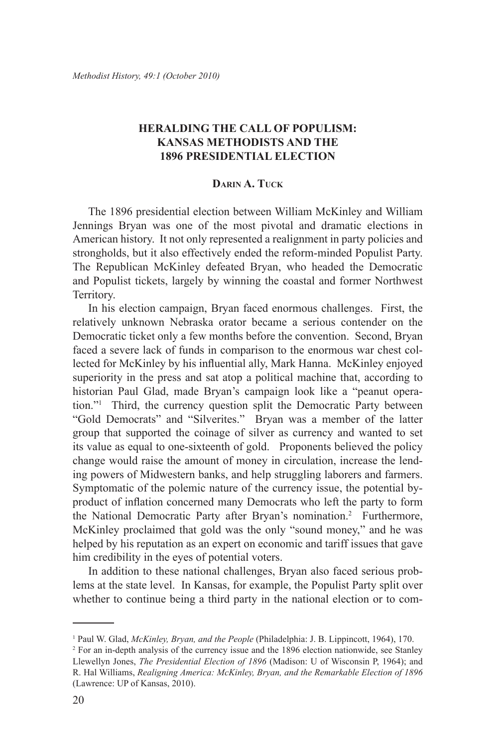## **HERALDING THE CALL OF POPULISM: KANSAS METHODISTS AND THE 1896 PRESIDENTIAL ELECTION**

## **Darin A. Tuck**

The 1896 presidential election between William McKinley and William Jennings Bryan was one of the most pivotal and dramatic elections in American history. It not only represented a realignment in party policies and strongholds, but it also effectively ended the reform-minded Populist Party. The Republican McKinley defeated Bryan, who headed the Democratic and Populist tickets, largely by winning the coastal and former Northwest Territory.

In his election campaign, Bryan faced enormous challenges. First, the relatively unknown Nebraska orator became a serious contender on the Democratic ticket only a few months before the convention. Second, Bryan faced a severe lack of funds in comparison to the enormous war chest collected for McKinley by his influential ally, Mark Hanna. McKinley enjoyed superiority in the press and sat atop a political machine that, according to historian Paul Glad, made Bryan's campaign look like a "peanut operation."1 Third, the currency question split the Democratic Party between "Gold Democrats" and "Silverites." Bryan was a member of the latter group that supported the coinage of silver as currency and wanted to set its value as equal to one-sixteenth of gold. Proponents believed the policy change would raise the amount of money in circulation, increase the lending powers of Midwestern banks, and help struggling laborers and farmers. Symptomatic of the polemic nature of the currency issue, the potential byproduct of inflation concerned many Democrats who left the party to form the National Democratic Party after Bryan's nomination.2 Furthermore, McKinley proclaimed that gold was the only "sound money," and he was helped by his reputation as an expert on economic and tariff issues that gave him credibility in the eyes of potential voters.

In addition to these national challenges, Bryan also faced serious problems at the state level. In Kansas, for example, the Populist Party split over whether to continue being a third party in the national election or to com-

<sup>&</sup>lt;sup>1</sup> Paul W. Glad, *McKinley, Bryan, and the People* (Philadelphia: J. B. Lippincott, 1964), 170.

<sup>2</sup> For an in-depth analysis of the currency issue and the 1896 election nationwide, see Stanley Llewellyn Jones, *The Presidential Election of 1896* (Madison: U of Wisconsin P, 1964); and R. Hal Williams, *Realigning America: McKinley, Bryan, and the Remarkable Election of 1896* (Lawrence: UP of Kansas, 2010).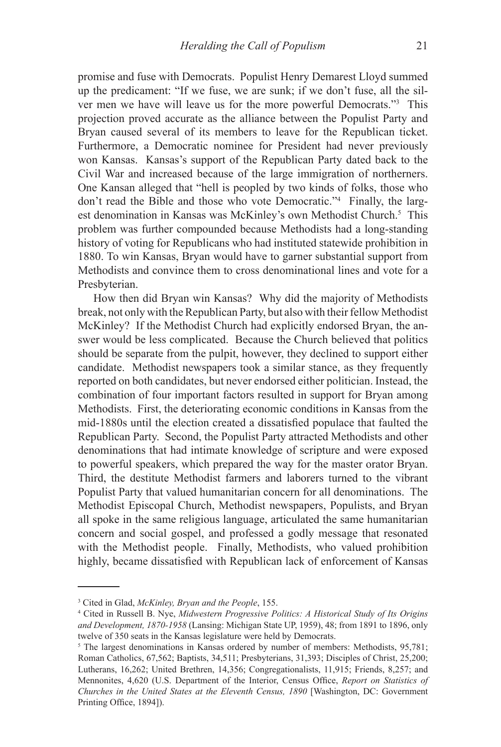promise and fuse with Democrats. Populist Henry Demarest Lloyd summed up the predicament: "If we fuse, we are sunk; if we don't fuse, all the silver men we have will leave us for the more powerful Democrats."3 This projection proved accurate as the alliance between the Populist Party and Bryan caused several of its members to leave for the Republican ticket. Furthermore, a Democratic nominee for President had never previously won Kansas. Kansas's support of the Republican Party dated back to the Civil War and increased because of the large immigration of northerners. One Kansan alleged that "hell is peopled by two kinds of folks, those who don't read the Bible and those who vote Democratic."4 Finally, the largest denomination in Kansas was McKinley's own Methodist Church.<sup>5</sup> This problem was further compounded because Methodists had a long-standing history of voting for Republicans who had instituted statewide prohibition in 1880. To win Kansas, Bryan would have to garner substantial support from Methodists and convince them to cross denominational lines and vote for a Presbyterian.

How then did Bryan win Kansas? Why did the majority of Methodists break, not only with the Republican Party, but also with their fellow Methodist McKinley? If the Methodist Church had explicitly endorsed Bryan, the answer would be less complicated. Because the Church believed that politics should be separate from the pulpit, however, they declined to support either candidate. Methodist newspapers took a similar stance, as they frequently reported on both candidates, but never endorsed either politician. Instead, the combination of four important factors resulted in support for Bryan among Methodists. First, the deteriorating economic conditions in Kansas from the mid-1880s until the election created a dissatisfied populace that faulted the Republican Party. Second, the Populist Party attracted Methodists and other denominations that had intimate knowledge of scripture and were exposed to powerful speakers, which prepared the way for the master orator Bryan. Third, the destitute Methodist farmers and laborers turned to the vibrant Populist Party that valued humanitarian concern for all denominations. The Methodist Episcopal Church, Methodist newspapers, Populists, and Bryan all spoke in the same religious language, articulated the same humanitarian concern and social gospel, and professed a godly message that resonated with the Methodist people. Finally, Methodists, who valued prohibition highly, became dissatisfied with Republican lack of enforcement of Kansas

<sup>3</sup> Cited in Glad, *McKinley, Bryan and the People*, 155.

<sup>4</sup> Cited in Russell B. Nye, *Midwestern Progressive Politics: A Historical Study of Its Origins and Development, 1870-1958* (Lansing: Michigan State UP, 1959), 48; from 1891 to 1896, only twelve of 350 seats in the Kansas legislature were held by Democrats.

<sup>&</sup>lt;sup>5</sup> The largest denominations in Kansas ordered by number of members: Methodists, 95,781; Roman Catholics, 67,562; Baptists, 34,511; Presbyterians, 31,393; Disciples of Christ, 25,200; Lutherans, 16,262; United Brethren, 14,356; Congregationalists, 11,915; Friends, 8,257; and Mennonites, 4,620 (U.S. Department of the Interior, Census Office, *Report on Statistics of Churches in the United States at the Eleventh Census, 1890* [Washington, DC: Government Printing Office, 1894]).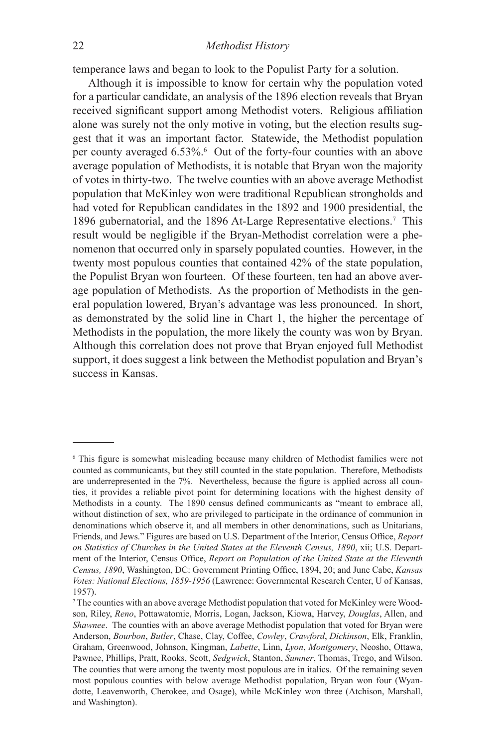temperance laws and began to look to the Populist Party for a solution.

Although it is impossible to know for certain why the population voted for a particular candidate, an analysis of the 1896 election reveals that Bryan received significant support among Methodist voters. Religious affiliation alone was surely not the only motive in voting, but the election results suggest that it was an important factor. Statewide, the Methodist population per county averaged 6.53%.<sup>6</sup> Out of the forty-four counties with an above average population of Methodists, it is notable that Bryan won the majority of votes in thirty-two. The twelve counties with an above average Methodist population that McKinley won were traditional Republican strongholds and had voted for Republican candidates in the 1892 and 1900 presidential, the 1896 gubernatorial, and the 1896 At-Large Representative elections.7 This result would be negligible if the Bryan-Methodist correlation were a phenomenon that occurred only in sparsely populated counties. However, in the twenty most populous counties that contained 42% of the state population, the Populist Bryan won fourteen. Of these fourteen, ten had an above average population of Methodists. As the proportion of Methodists in the general population lowered, Bryan's advantage was less pronounced. In short, as demonstrated by the solid line in Chart 1, the higher the percentage of Methodists in the population, the more likely the county was won by Bryan. Although this correlation does not prove that Bryan enjoyed full Methodist support, it does suggest a link between the Methodist population and Bryan's success in Kansas.

<sup>6</sup> This figure is somewhat misleading because many children of Methodist families were not counted as communicants, but they still counted in the state population. Therefore, Methodists are underrepresented in the 7%. Nevertheless, because the figure is applied across all counties, it provides a reliable pivot point for determining locations with the highest density of Methodists in a county. The 1890 census defined communicants as "meant to embrace all, without distinction of sex, who are privileged to participate in the ordinance of communion in denominations which observe it, and all members in other denominations, such as Unitarians, Friends, and Jews." Figures are based on U.S. Department of the Interior, Census Office, *Report on Statistics of Churches in the United States at the Eleventh Census, 1890*, xii; U.S. Department of the Interior, Census Office, *Report on Population of the United State at the Eleventh Census, 1890*, Washington, DC: Government Printing Office, 1894, 20; and June Cabe, *Kansas Votes: National Elections, 1859-1956* (Lawrence: Governmental Research Center, U of Kansas, 1957).

<sup>7</sup> The counties with an above average Methodist population that voted for McKinley were Woodson, Riley, *Reno*, Pottawatomie, Morris, Logan, Jackson, Kiowa, Harvey, *Douglas*, Allen, and *Shawnee*. The counties with an above average Methodist population that voted for Bryan were Anderson, *Bourbon*, *Butler*, Chase, Clay, Coffee, *Cowley*, *Crawford*, *Dickinson*, Elk, Franklin, Graham, Greenwood, Johnson, Kingman, *Labette*, Linn, *Lyon*, *Montgomery*, Neosho, Ottawa, Pawnee, Phillips, Pratt, Rooks, Scott, *Sedgwick*, Stanton, *Sumner*, Thomas, Trego, and Wilson. The counties that were among the twenty most populous are in italics. Of the remaining seven most populous counties with below average Methodist population, Bryan won four (Wyandotte, Leavenworth, Cherokee, and Osage), while McKinley won three (Atchison, Marshall, and Washington).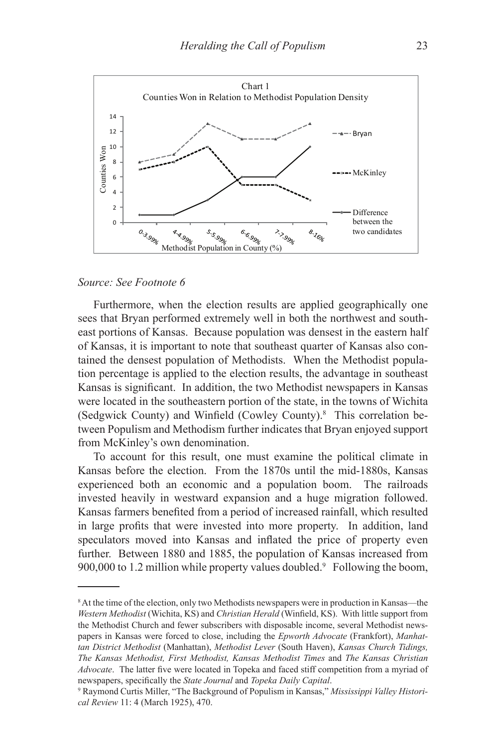

## *Source: See Footnote 6*

Furthermore, when the election results are applied geographically one sees that Bryan performed extremely well in both the northwest and southeast portions of Kansas. Because population was densest in the eastern half of Kansas, it is important to note that southeast quarter of Kansas also contained the densest population of Methodists. When the Methodist population percentage is applied to the election results, the advantage in southeast Kansas is significant. In addition, the two Methodist newspapers in Kansas were located in the southeastern portion of the state, in the towns of Wichita (Sedgwick County) and Winfield (Cowley County).<sup>8</sup> This correlation between Populism and Methodism further indicates that Bryan enjoyed support from McKinley's own denomination.

To account for this result, one must examine the political climate in Kansas before the election. From the 1870s until the mid-1880s, Kansas experienced both an economic and a population boom. The railroads invested heavily in westward expansion and a huge migration followed. Kansas farmers benefited from a period of increased rainfall, which resulted in large profits that were invested into more property. In addition, land speculators moved into Kansas and inflated the price of property even further. Between 1880 and 1885, the population of Kansas increased from 900,000 to 1.2 million while property values doubled.<sup>9</sup> Following the boom,

<sup>&</sup>lt;sup>8</sup> At the time of the election, only two Methodists newspapers were in production in Kansas—the *Western Methodist* (Wichita, KS) and *Christian Herald* (Winfield, KS). With little support from the Methodist Church and fewer subscribers with disposable income, several Methodist newspapers in Kansas were forced to close, including the *Epworth Advocate* (Frankfort), *Manhattan District Methodist* (Manhattan), *Methodist Lever* (South Haven), *Kansas Church Tidings, The Kansas Methodist, First Methodist, Kansas Methodist Times* and *The Kansas Christian Advocate*. The latter five were located in Topeka and faced stiff competition from a myriad of newspapers, specifically the *State Journal* and *Topeka Daily Capital*.

<sup>9</sup> Raymond Curtis Miller, "The Background of Populism in Kansas," *Mississippi Valley Historical Review* 11: 4 (March 1925), 470.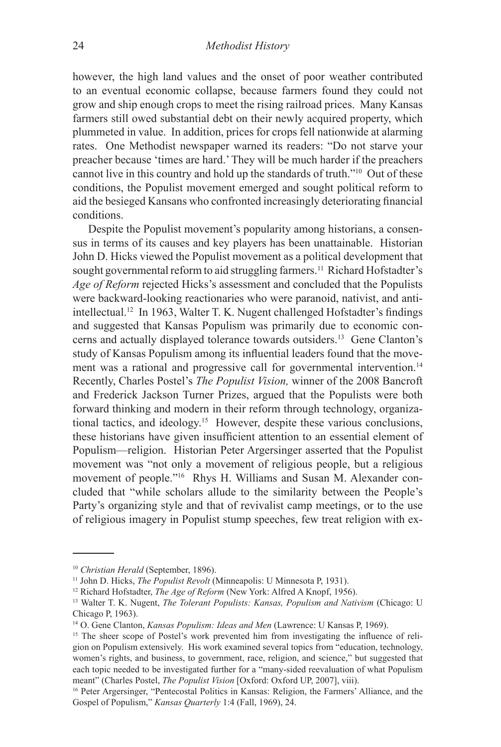however, the high land values and the onset of poor weather contributed to an eventual economic collapse, because farmers found they could not grow and ship enough crops to meet the rising railroad prices. Many Kansas farmers still owed substantial debt on their newly acquired property, which plummeted in value. In addition, prices for crops fell nationwide at alarming rates. One Methodist newspaper warned its readers: "Do not starve your preacher because 'times are hard.' They will be much harder if the preachers cannot live in this country and hold up the standards of truth."10 Out of these conditions, the Populist movement emerged and sought political reform to aid the besieged Kansans who confronted increasingly deteriorating financial conditions.

Despite the Populist movement's popularity among historians, a consensus in terms of its causes and key players has been unattainable. Historian John D. Hicks viewed the Populist movement as a political development that sought governmental reform to aid struggling farmers.<sup>11</sup> Richard Hofstadter's *Age of Reform* rejected Hicks's assessment and concluded that the Populists were backward-looking reactionaries who were paranoid, nativist, and antiintellectual.12 In 1963, Walter T. K. Nugent challenged Hofstadter's findings and suggested that Kansas Populism was primarily due to economic concerns and actually displayed tolerance towards outsiders.13 Gene Clanton's study of Kansas Populism among its influential leaders found that the movement was a rational and progressive call for governmental intervention.<sup>14</sup> Recently, Charles Postel's *The Populist Vision,* winner of the 2008 Bancroft and Frederick Jackson Turner Prizes, argued that the Populists were both forward thinking and modern in their reform through technology, organizational tactics, and ideology.15 However, despite these various conclusions, these historians have given insufficient attention to an essential element of Populism—religion. Historian Peter Argersinger asserted that the Populist movement was "not only a movement of religious people, but a religious movement of people."16 Rhys H. Williams and Susan M. Alexander concluded that "while scholars allude to the similarity between the People's Party's organizing style and that of revivalist camp meetings, or to the use of religious imagery in Populist stump speeches, few treat religion with ex-

<sup>&</sup>lt;sup>10</sup> *Christian Herald* (September, 1896).

<sup>11</sup> John D. Hicks, *The Populist Revolt* (Minneapolis: U Minnesota P, 1931).

<sup>12</sup> Richard Hofstadter, *The Age of Reform* (New York: Alfred A Knopf, 1956).

<sup>13</sup> Walter T. K. Nugent, *The Tolerant Populists: Kansas, Populism and Nativism* (Chicago: U Chicago P, 1963).

<sup>14</sup> O. Gene Clanton, *Kansas Populism: Ideas and Men* (Lawrence: U Kansas P, 1969).

<sup>&</sup>lt;sup>15</sup> The sheer scope of Postel's work prevented him from investigating the influence of religion on Populism extensively. His work examined several topics from "education, technology, women's rights, and business, to government, race, religion, and science," but suggested that each topic needed to be investigated further for a "many-sided reevaluation of what Populism<br>meant" (Charles Postel, *The Populist Vision* [Oxford: Oxford UP, 2007], viii).

<sup>&</sup>lt;sup>16</sup> Peter Argersinger, "Pentecostal Politics in Kansas: Religion, the Farmers' Alliance, and the Gospel of Populism," *Kansas Quarterly* 1:4 (Fall, 1969), 24.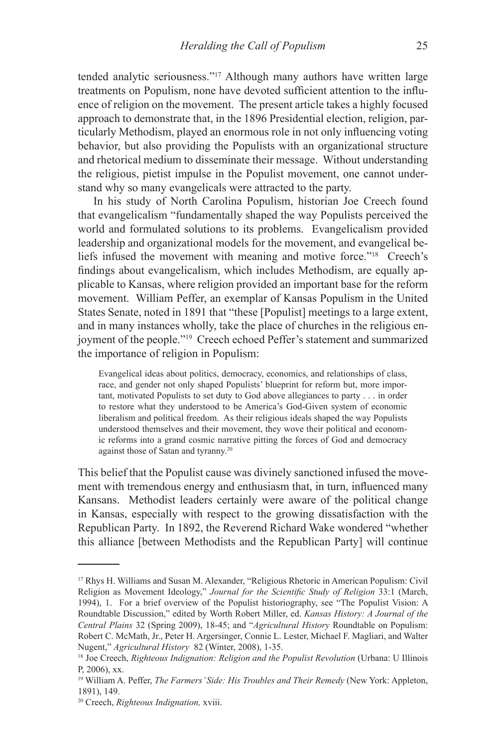tended analytic seriousness."17 Although many authors have written large treatments on Populism, none have devoted sufficient attention to the influence of religion on the movement. The present article takes a highly focused approach to demonstrate that, in the 1896 Presidential election, religion, particularly Methodism, played an enormous role in not only influencing voting behavior, but also providing the Populists with an organizational structure and rhetorical medium to disseminate their message. Without understanding the religious, pietist impulse in the Populist movement, one cannot understand why so many evangelicals were attracted to the party.

In his study of North Carolina Populism, historian Joe Creech found that evangelicalism "fundamentally shaped the way Populists perceived the world and formulated solutions to its problems. Evangelicalism provided leadership and organizational models for the movement, and evangelical beliefs infused the movement with meaning and motive force."18 Creech's findings about evangelicalism, which includes Methodism, are equally applicable to Kansas, where religion provided an important base for the reform movement. William Peffer, an exemplar of Kansas Populism in the United States Senate, noted in 1891 that "these [Populist] meetings to a large extent, and in many instances wholly, take the place of churches in the religious enjoyment of the people."19 Creech echoed Peffer's statement and summarized the importance of religion in Populism:

Evangelical ideas about politics, democracy, economics, and relationships of class, race, and gender not only shaped Populists' blueprint for reform but, more important, motivated Populists to set duty to God above allegiances to party . . . in order to restore what they understood to be America's God-Given system of economic liberalism and political freedom. As their religious ideals shaped the way Populists understood themselves and their movement, they wove their political and economic reforms into a grand cosmic narrative pitting the forces of God and democracy against those of Satan and tyranny.20

This belief that the Populist cause was divinely sanctioned infused the movement with tremendous energy and enthusiasm that, in turn, influenced many Kansans. Methodist leaders certainly were aware of the political change in Kansas, especially with respect to the growing dissatisfaction with the Republican Party. In 1892, the Reverend Richard Wake wondered "whether this alliance [between Methodists and the Republican Party] will continue

<sup>17</sup> Rhys H. Williams and Susan M. Alexander, "Religious Rhetoric in American Populism: Civil Religion as Movement Ideology," *Journal for the Scientific Study of Religion* 33:1 (March, 1994), 1. For a brief overview of the Populist historiography, see "The Populist Vision: A Roundtable Discussion," edited by Worth Robert Miller, ed. *Kansas History: A Journal of the Central Plains* 32 (Spring 2009), 18-45; and "*Agricultural History* Roundtable on Populism: Robert C. McMath, Jr., Peter H. Argersinger, Connie L. Lester, Michael F. Magliari, and Walter Nugent," *Agricultural History* 82 (Winter, 2008), 1-35.

<sup>18</sup> Joe Creech, *Righteous Indignation: Religion and the Populist Revolution* (Urbana: U Illinois P, 2006), xx.

<sup>19</sup> William A. Peffer, *The Farmers' Side: His Troubles and Their Remedy* (New York: Appleton, 1891), 149.

<sup>20</sup> Creech, *Righteous Indignation,* xviii.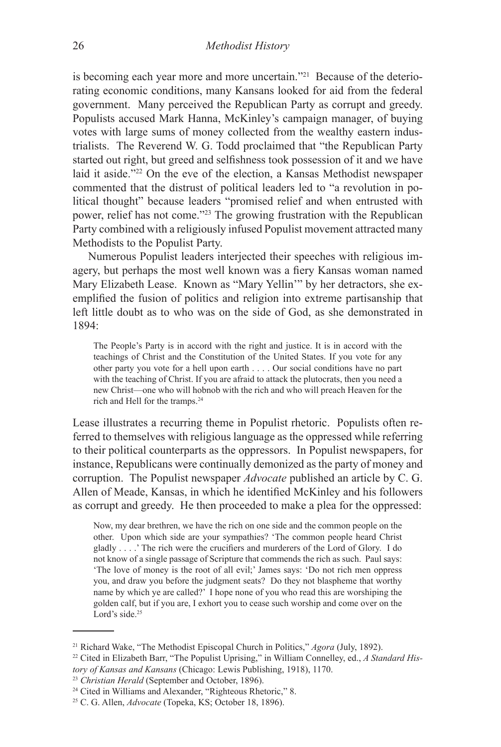is becoming each year more and more uncertain."21 Because of the deteriorating economic conditions, many Kansans looked for aid from the federal government. Many perceived the Republican Party as corrupt and greedy. Populists accused Mark Hanna, McKinley's campaign manager, of buying votes with large sums of money collected from the wealthy eastern industrialists. The Reverend W. G. Todd proclaimed that "the Republican Party started out right, but greed and selfishness took possession of it and we have laid it aside."22 On the eve of the election, a Kansas Methodist newspaper commented that the distrust of political leaders led to "a revolution in political thought" because leaders "promised relief and when entrusted with power, relief has not come."23 The growing frustration with the Republican Party combined with a religiously infused Populist movement attracted many Methodists to the Populist Party.

Numerous Populist leaders interjected their speeches with religious imagery, but perhaps the most well known was a fiery Kansas woman named Mary Elizabeth Lease. Known as "Mary Yellin'" by her detractors, she exemplified the fusion of politics and religion into extreme partisanship that left little doubt as to who was on the side of God, as she demonstrated in 1894:

The People's Party is in accord with the right and justice. It is in accord with the teachings of Christ and the Constitution of the United States. If you vote for any other party you vote for a hell upon earth . . . . Our social conditions have no part with the teaching of Christ. If you are afraid to attack the plutocrats, then you need a new Christ—one who will hobnob with the rich and who will preach Heaven for the rich and Hell for the tramps.<sup>24</sup>

Lease illustrates a recurring theme in Populist rhetoric. Populists often referred to themselves with religious language as the oppressed while referring to their political counterparts as the oppressors. In Populist newspapers, for instance, Republicans were continually demonized as the party of money and corruption. The Populist newspaper *Advocate* published an article by C. G. Allen of Meade, Kansas, in which he identified McKinley and his followers as corrupt and greedy. He then proceeded to make a plea for the oppressed:

Now, my dear brethren, we have the rich on one side and the common people on the other. Upon which side are your sympathies? 'The common people heard Christ gladly . . . .' The rich were the crucifiers and murderers of the Lord of Glory. I do not know of a single passage of Scripture that commends the rich as such. Paul says: 'The love of money is the root of all evil;' James says: 'Do not rich men oppress you, and draw you before the judgment seats? Do they not blaspheme that worthy name by which ye are called?' I hope none of you who read this are worshiping the golden calf, but if you are, I exhort you to cease such worship and come over on the Lord's side.<sup>25</sup>

<sup>21</sup> Richard Wake, "The Methodist Episcopal Church in Politics," *Agora* (July, 1892).

<sup>22</sup> Cited in Elizabeth Barr, "The Populist Uprising," in William Connelley, ed., *A Standard History of Kansas and Kansans* (Chicago: Lewis Publishing, 1918), 1170.

<sup>23</sup> *Christian Herald* (September and October, 1896).

<sup>24</sup> Cited in Williams and Alexander, "Righteous Rhetoric," 8.

<sup>25</sup> C. G. Allen, *Advocate* (Topeka, KS; October 18, 1896).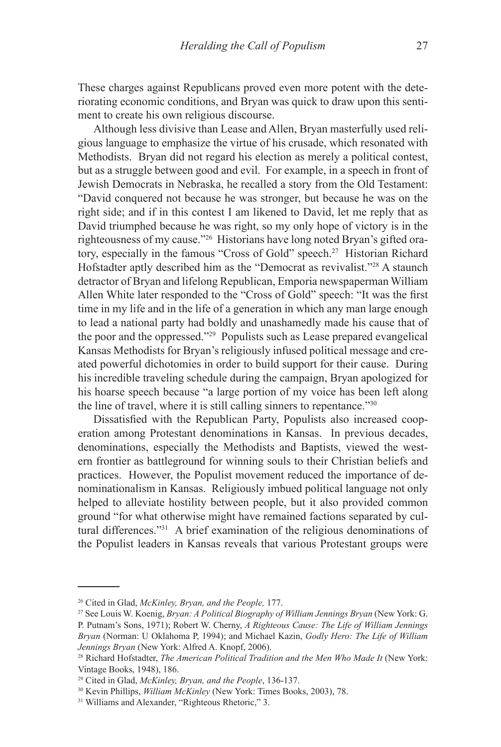These charges against Republicans proved even more potent with the deteriorating economic conditions, and Bryan was quick to draw upon this sentiment to create his own religious discourse.

Although less divisive than Lease and Allen, Bryan masterfully used religious language to emphasize the virtue of his crusade, which resonated with Methodists. Bryan did not regard his election as merely a political contest, but as a struggle between good and evil. For example, in a speech in front of Jewish Democrats in Nebraska, he recalled a story from the Old Testament: "David conquered not because he was stronger, but because he was on the right side; and if in this contest I am likened to David, let me reply that as David triumphed because he was right, so my only hope of victory is in the righteousness of my cause."26 Historians have long noted Bryan's gifted oratory, especially in the famous "Cross of Gold" speech.27 Historian Richard Hofstadter aptly described him as the "Democrat as revivalist."<sup>28</sup> A staunch detractor of Bryan and lifelong Republican, Emporia newspaperman William Allen White later responded to the "Cross of Gold" speech: "It was the first time in my life and in the life of a generation in which any man large enough to lead a national party had boldly and unashamedly made his cause that of the poor and the oppressed."29 Populists such as Lease prepared evangelical Kansas Methodists for Bryan's religiously infused political message and created powerful dichotomies in order to build support for their cause. During his incredible traveling schedule during the campaign, Bryan apologized for his hoarse speech because "a large portion of my voice has been left along the line of travel, where it is still calling sinners to repentance."30

Dissatisfied with the Republican Party, Populists also increased cooperation among Protestant denominations in Kansas. In previous decades, denominations, especially the Methodists and Baptists, viewed the western frontier as battleground for winning souls to their Christian beliefs and practices. However, the Populist movement reduced the importance of denominationalism in Kansas. Religiously imbued political language not only helped to alleviate hostility between people, but it also provided common ground "for what otherwise might have remained factions separated by cultural differences."31 A brief examination of the religious denominations of the Populist leaders in Kansas reveals that various Protestant groups were

<sup>&</sup>lt;sup>26</sup> Cited in Glad, *McKinley, Bryan, and the People,* 177.<br><sup>27</sup> See Louis W. Koenig, *Bryan: A Political Biography of William Jennings Bryan* (New York: G. P. Putnam's Sons, 1971); Robert W. Cherny, *A Righteous Cause: The Life of William Jennings Bryan* (Norman: U Oklahoma P, 1994); and Michael Kazin, *Godly Hero: The Life of William Jennings Bryan* (New York: Alfred A. Knopf, 2006).

<sup>28</sup> Richard Hofstadter, *The American Political Tradition and the Men Who Made It* (New York: Vintage Books, 1948), 186.

<sup>29</sup> Cited in Glad, *McKinley, Bryan, and the People*, 136-137.

<sup>30</sup> Kevin Phillips, *William McKinley* (New York: Times Books, 2003), 78.

<sup>31</sup> Williams and Alexander, "Righteous Rhetoric," 3.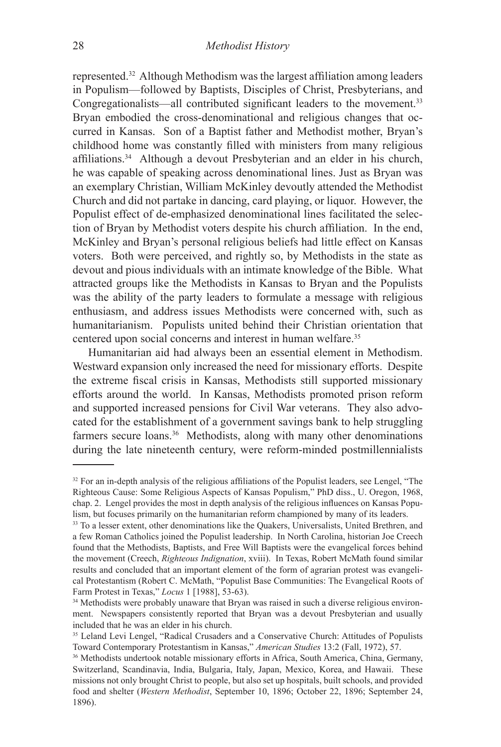represented.32 Although Methodism was the largest affiliation among leaders in Populism—followed by Baptists, Disciples of Christ, Presbyterians, and Congregationalists—all contributed significant leaders to the movement.<sup>33</sup> Bryan embodied the cross-denominational and religious changes that occurred in Kansas. Son of a Baptist father and Methodist mother, Bryan's childhood home was constantly filled with ministers from many religious affiliations.34 Although a devout Presbyterian and an elder in his church, he was capable of speaking across denominational lines. Just as Bryan was an exemplary Christian, William McKinley devoutly attended the Methodist Church and did not partake in dancing, card playing, or liquor. However, the Populist effect of de-emphasized denominational lines facilitated the selection of Bryan by Methodist voters despite his church affiliation. In the end, McKinley and Bryan's personal religious beliefs had little effect on Kansas voters. Both were perceived, and rightly so, by Methodists in the state as devout and pious individuals with an intimate knowledge of the Bible. What attracted groups like the Methodists in Kansas to Bryan and the Populists was the ability of the party leaders to formulate a message with religious enthusiasm, and address issues Methodists were concerned with, such as humanitarianism. Populists united behind their Christian orientation that centered upon social concerns and interest in human welfare.<sup>35</sup>

Humanitarian aid had always been an essential element in Methodism. Westward expansion only increased the need for missionary efforts. Despite the extreme fiscal crisis in Kansas, Methodists still supported missionary efforts around the world. In Kansas, Methodists promoted prison reform and supported increased pensions for Civil War veterans. They also advocated for the establishment of a government savings bank to help struggling farmers secure loans.<sup>36</sup> Methodists, along with many other denominations during the late nineteenth century, were reform-minded postmillennialists

<sup>&</sup>lt;sup>32</sup> For an in-depth analysis of the religious affiliations of the Populist leaders, see Lengel, "The Righteous Cause: Some Religious Aspects of Kansas Populism," PhD diss., U. Oregon, 1968, chap. 2. Lengel provides the most in depth analysis of the religious influences on Kansas Populism, but focuses primarily on the humanitarian reform championed by many of its leaders.

<sup>&</sup>lt;sup>33</sup> To a lesser extent, other denominations like the Quakers, Universalists, United Brethren, and a few Roman Catholics joined the Populist leadership. In North Carolina, historian Joe Creech found that the Methodists, Baptists, and Free Will Baptists were the evangelical forces behind the movement (Creech, *Righteous Indignation*, xviii). In Texas, Robert McMath found similar results and concluded that an important element of the form of agrarian protest was evangelical Protestantism (Robert C. McMath, "Populist Base Communities: The Evangelical Roots of Farm Protest in Texas," *Locus* 1 [1988], 53-63).

<sup>&</sup>lt;sup>34</sup> Methodists were probably unaware that Bryan was raised in such a diverse religious environment. Newspapers consistently reported that Bryan was a devout Presbyterian and usually included that he was an elder in his church.

<sup>35</sup> Leland Levi Lengel, "Radical Crusaders and a Conservative Church: Attitudes of Populists Toward Contemporary Protestantism in Kansas," *American Studies* 13:2 (Fall, 1972), 57.

<sup>36</sup> Methodists undertook notable missionary efforts in Africa, South America, China, Germany, Switzerland, Scandinavia, India, Bulgaria, Italy, Japan, Mexico, Korea, and Hawaii. These missions not only brought Christ to people, but also set up hospitals, built schools, and provided food and shelter (*Western Methodist*, September 10, 1896; October 22, 1896; September 24, 1896).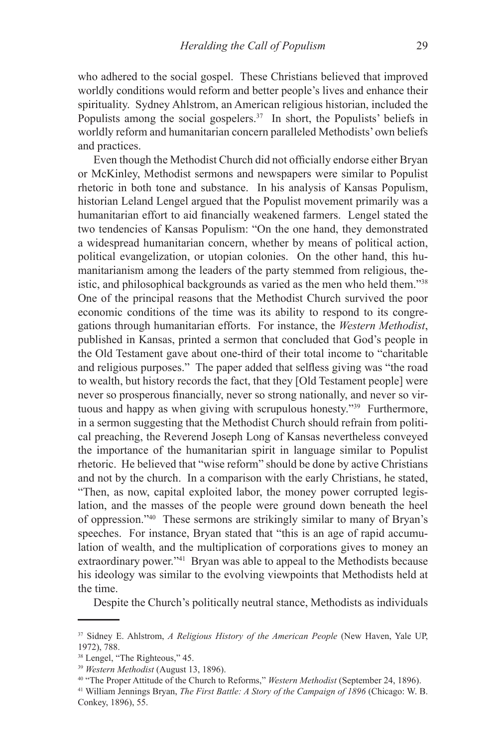who adhered to the social gospel. These Christians believed that improved worldly conditions would reform and better people's lives and enhance their spirituality. Sydney Ahlstrom, an American religious historian, included the Populists among the social gospelers.<sup>37</sup> In short, the Populists' beliefs in worldly reform and humanitarian concern paralleled Methodists' own beliefs and practices.

Even though the Methodist Church did not officially endorse either Bryan or McKinley, Methodist sermons and newspapers were similar to Populist rhetoric in both tone and substance. In his analysis of Kansas Populism, historian Leland Lengel argued that the Populist movement primarily was a humanitarian effort to aid financially weakened farmers. Lengel stated the two tendencies of Kansas Populism: "On the one hand, they demonstrated a widespread humanitarian concern, whether by means of political action, political evangelization, or utopian colonies. On the other hand, this humanitarianism among the leaders of the party stemmed from religious, theistic, and philosophical backgrounds as varied as the men who held them."38 One of the principal reasons that the Methodist Church survived the poor economic conditions of the time was its ability to respond to its congregations through humanitarian efforts. For instance, the *Western Methodist*, published in Kansas, printed a sermon that concluded that God's people in the Old Testament gave about one-third of their total income to "charitable and religious purposes." The paper added that selfless giving was "the road to wealth, but history records the fact, that they [Old Testament people] were never so prosperous financially, never so strong nationally, and never so virtuous and happy as when giving with scrupulous honesty."39 Furthermore, in a sermon suggesting that the Methodist Church should refrain from political preaching, the Reverend Joseph Long of Kansas nevertheless conveyed the importance of the humanitarian spirit in language similar to Populist rhetoric. He believed that "wise reform" should be done by active Christians and not by the church. In a comparison with the early Christians, he stated, "Then, as now, capital exploited labor, the money power corrupted legislation, and the masses of the people were ground down beneath the heel of oppression."40 These sermons are strikingly similar to many of Bryan's speeches. For instance, Bryan stated that "this is an age of rapid accumulation of wealth, and the multiplication of corporations gives to money an extraordinary power."<sup>41</sup> Bryan was able to appeal to the Methodists because his ideology was similar to the evolving viewpoints that Methodists held at the time.

Despite the Church's politically neutral stance, Methodists as individuals

<sup>37</sup> Sidney E. Ahlstrom, *A Religious History of the American People* (New Haven, Yale UP, 1972), 788.

<sup>38</sup> Lengel, "The Righteous," 45.

<sup>39</sup> *Western Methodist* (August 13, 1896).

<sup>40 &</sup>quot;The Proper Attitude of the Church to Reforms," *Western Methodist* (September 24, 1896).

<sup>41</sup> William Jennings Bryan, *The First Battle: A Story of the Campaign of 1896* (Chicago: W. B. Conkey, 1896), 55.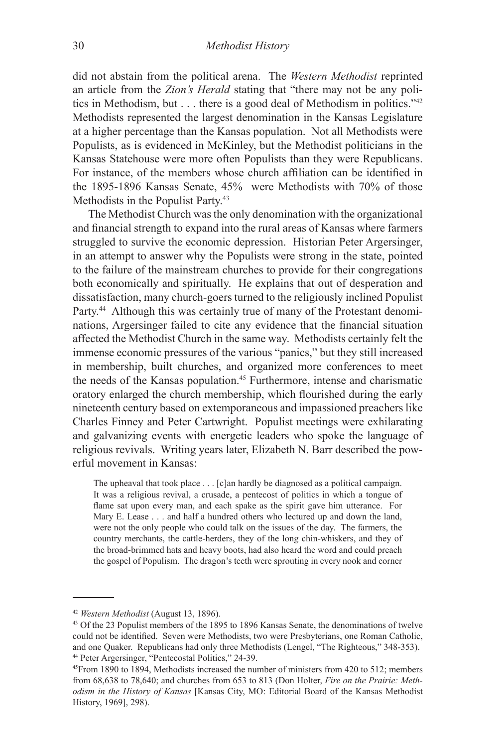did not abstain from the political arena. The *Western Methodist* reprinted an article from the *Zion's Herald* stating that "there may not be any politics in Methodism, but . . . there is a good deal of Methodism in politics."42 Methodists represented the largest denomination in the Kansas Legislature at a higher percentage than the Kansas population. Not all Methodists were Populists, as is evidenced in McKinley, but the Methodist politicians in the Kansas Statehouse were more often Populists than they were Republicans. For instance, of the members whose church affiliation can be identified in the 1895-1896 Kansas Senate, 45% were Methodists with 70% of those Methodists in the Populist Party.43

The Methodist Church was the only denomination with the organizational and financial strength to expand into the rural areas of Kansas where farmers struggled to survive the economic depression. Historian Peter Argersinger, in an attempt to answer why the Populists were strong in the state, pointed to the failure of the mainstream churches to provide for their congregations both economically and spiritually. He explains that out of desperation and dissatisfaction, many church-goers turned to the religiously inclined Populist Party.<sup>44</sup> Although this was certainly true of many of the Protestant denominations, Argersinger failed to cite any evidence that the financial situation affected the Methodist Church in the same way. Methodists certainly felt the immense economic pressures of the various "panics," but they still increased in membership, built churches, and organized more conferences to meet the needs of the Kansas population.45 Furthermore, intense and charismatic oratory enlarged the church membership, which flourished during the early nineteenth century based on extemporaneous and impassioned preachers like Charles Finney and Peter Cartwright. Populist meetings were exhilarating and galvanizing events with energetic leaders who spoke the language of religious revivals. Writing years later, Elizabeth N. Barr described the powerful movement in Kansas:

The upheaval that took place . . . [c]an hardly be diagnosed as a political campaign. It was a religious revival, a crusade, a pentecost of politics in which a tongue of flame sat upon every man, and each spake as the spirit gave him utterance. For Mary E. Lease . . . and half a hundred others who lectured up and down the land, were not the only people who could talk on the issues of the day. The farmers, the country merchants, the cattle-herders, they of the long chin-whiskers, and they of the broad-brimmed hats and heavy boots, had also heard the word and could preach the gospel of Populism. The dragon's teeth were sprouting in every nook and corner

<sup>42</sup> *Western Methodist* (August 13, 1896).

<sup>43</sup> Of the 23 Populist members of the 1895 to 1896 Kansas Senate, the denominations of twelve could not be identified. Seven were Methodists, two were Presbyterians, one Roman Catholic, and one Quaker. Republicans had only three Methodists (Lengel, "The Righteous," 348-353). 44 Peter Argersinger, "Pentecostal Politics," 24-39.

<sup>45</sup>From 1890 to 1894, Methodists increased the number of ministers from 420 to 512; members from 68,638 to 78,640; and churches from 653 to 813 (Don Holter, *Fire on the Prairie: Methodism in the History of Kansas* [Kansas City, MO: Editorial Board of the Kansas Methodist History, 1969], 298).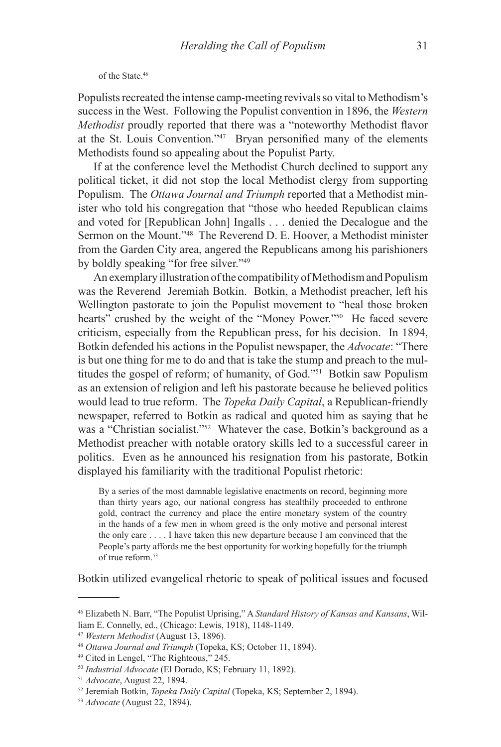of the State.46

Populists recreated the intense camp-meeting revivals so vital to Methodism's success in the West. Following the Populist convention in 1896, the *Western Methodist* proudly reported that there was a "noteworthy Methodist flavor at the St. Louis Convention."<sup>47</sup> Bryan personified many of the elements Methodists found so appealing about the Populist Party.

If at the conference level the Methodist Church declined to support any political ticket, it did not stop the local Methodist clergy from supporting Populism. The *Ottawa Journal and Triumph* reported that a Methodist minister who told his congregation that "those who heeded Republican claims and voted for [Republican John] Ingalls . . . denied the Decalogue and the Sermon on the Mount."48 The Reverend D. E. Hoover, a Methodist minister from the Garden City area, angered the Republicans among his parishioners by boldly speaking "for free silver."49

An exemplary illustration of the compatibility of Methodism and Populism was the Reverend Jeremiah Botkin. Botkin, a Methodist preacher, left his Wellington pastorate to join the Populist movement to "heal those broken hearts" crushed by the weight of the "Money Power."<sup>50</sup> He faced severe criticism, especially from the Republican press, for his decision. In 1894, Botkin defended his actions in the Populist newspaper, the *Advocate*: "There is but one thing for me to do and that is take the stump and preach to the multitudes the gospel of reform; of humanity, of God."51 Botkin saw Populism as an extension of religion and left his pastorate because he believed politics would lead to true reform. The *Topeka Daily Capital*, a Republican-friendly newspaper, referred to Botkin as radical and quoted him as saying that he was a "Christian socialist."<sup>52</sup> Whatever the case, Botkin's background as a Methodist preacher with notable oratory skills led to a successful career in politics. Even as he announced his resignation from his pastorate, Botkin displayed his familiarity with the traditional Populist rhetoric:

By a series of the most damnable legislative enactments on record, beginning more than thirty years ago, our national congress has stealthily proceeded to enthrone gold, contract the currency and place the entire monetary system of the country in the hands of a few men in whom greed is the only motive and personal interest the only care . . . . I have taken this new departure because I am convinced that the People's party affords me the best opportunity for working hopefully for the triumph of true reform.53

Botkin utilized evangelical rhetoric to speak of political issues and focused

<sup>46</sup> Elizabeth N. Barr, "The Populist Uprising," A *Standard History of Kansas and Kansans*, William E. Connelly, ed., (Chicago: Lewis, 1918), 1148-1149.

<sup>47</sup> *Western Methodist* (August 13, 1896).

<sup>48</sup> *Ottawa Journal and Triumph* (Topeka, KS; October 11, 1894).

<sup>49</sup> Cited in Lengel, "The Righteous," 245.

<sup>50</sup> *Industrial Advocate* (El Dorado, KS; February 11, 1892).

<sup>51</sup> *Advocate*, August 22, 1894.

<sup>52</sup> Jeremiah Botkin, *Topeka Daily Capital* (Topeka, KS; September 2, 1894).

<sup>53</sup> *Advocate* (August 22, 1894).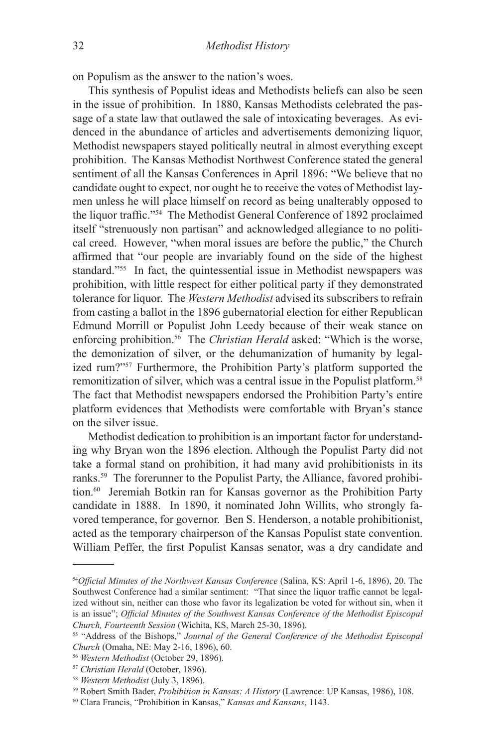on Populism as the answer to the nation's woes.

This synthesis of Populist ideas and Methodists beliefs can also be seen in the issue of prohibition. In 1880, Kansas Methodists celebrated the passage of a state law that outlawed the sale of intoxicating beverages. As evidenced in the abundance of articles and advertisements demonizing liquor, Methodist newspapers stayed politically neutral in almost everything except prohibition. The Kansas Methodist Northwest Conference stated the general sentiment of all the Kansas Conferences in April 1896: "We believe that no candidate ought to expect, nor ought he to receive the votes of Methodist laymen unless he will place himself on record as being unalterably opposed to the liquor traffic."54 The Methodist General Conference of 1892 proclaimed itself "strenuously non partisan" and acknowledged allegiance to no political creed. However, "when moral issues are before the public," the Church affirmed that "our people are invariably found on the side of the highest standard."55 In fact, the quintessential issue in Methodist newspapers was prohibition, with little respect for either political party if they demonstrated tolerance for liquor. The *Western Methodist* advised its subscribers to refrain from casting a ballot in the 1896 gubernatorial election for either Republican Edmund Morrill or Populist John Leedy because of their weak stance on enforcing prohibition.<sup>56</sup> The *Christian Herald* asked: "Which is the worse, the demonization of silver, or the dehumanization of humanity by legalized rum?"57 Furthermore, the Prohibition Party's platform supported the remonitization of silver, which was a central issue in the Populist platform.<sup>58</sup> The fact that Methodist newspapers endorsed the Prohibition Party's entire platform evidences that Methodists were comfortable with Bryan's stance on the silver issue.

Methodist dedication to prohibition is an important factor for understanding why Bryan won the 1896 election. Although the Populist Party did not take a formal stand on prohibition, it had many avid prohibitionists in its ranks.<sup>59</sup> The forerunner to the Populist Party, the Alliance, favored prohibition.60 Jeremiah Botkin ran for Kansas governor as the Prohibition Party candidate in 1888. In 1890, it nominated John Willits, who strongly favored temperance, for governor. Ben S. Henderson, a notable prohibitionist, acted as the temporary chairperson of the Kansas Populist state convention. William Peffer, the first Populist Kansas senator, was a dry candidate and

<sup>54</sup>*Official Minutes of the Northwest Kansas Conference* (Salina, KS: April 1-6, 1896), 20. The Southwest Conference had a similar sentiment: "That since the liquor traffic cannot be legalized without sin, neither can those who favor its legalization be voted for without sin, when it is an issue"; *Official Minutes of the Southwest Kansas Conference of the Methodist Episcopal* 

<sup>&</sup>lt;sup>55</sup> "Address of the Bishops," *Journal of the General Conference of the Methodist Episcopal Church* (Omaha, NE: May 2-16, 1896), 60.

<sup>56</sup> *Western Methodist* (October 29, 1896).

<sup>57</sup> *Christian Herald* (October, 1896).

<sup>58</sup> *Western Methodist* (July 3, 1896).

<sup>59</sup> Robert Smith Bader, *Prohibition in Kansas: A History* (Lawrence: UP Kansas, 1986), 108.

<sup>60</sup> Clara Francis, "Prohibition in Kansas," *Kansas and Kansans*, 1143.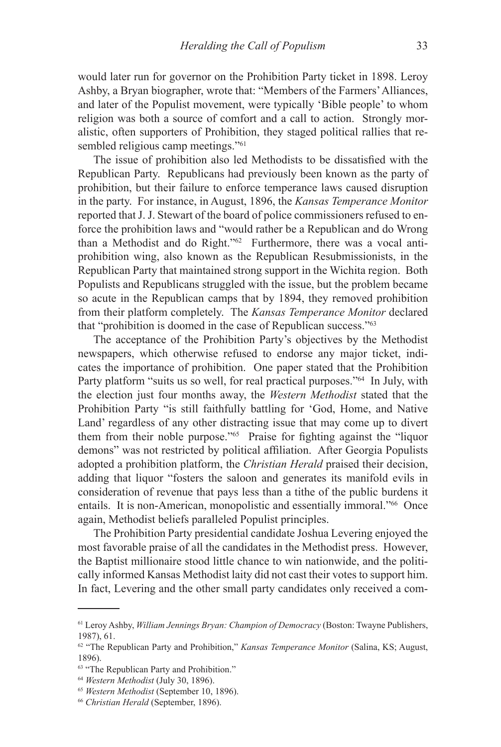would later run for governor on the Prohibition Party ticket in 1898. Leroy Ashby, a Bryan biographer, wrote that: "Members of the Farmers' Alliances, and later of the Populist movement, were typically 'Bible people' to whom religion was both a source of comfort and a call to action. Strongly moralistic, often supporters of Prohibition, they staged political rallies that resembled religious camp meetings."<sup>61</sup>

The issue of prohibition also led Methodists to be dissatisfied with the Republican Party. Republicans had previously been known as the party of prohibition, but their failure to enforce temperance laws caused disruption in the party. For instance, in August, 1896, the *Kansas Temperance Monitor* reported that J. J. Stewart of the board of police commissioners refused to enforce the prohibition laws and "would rather be a Republican and do Wrong than a Methodist and do Right."62 Furthermore, there was a vocal antiprohibition wing, also known as the Republican Resubmissionists, in the Republican Party that maintained strong support in the Wichita region. Both Populists and Republicans struggled with the issue, but the problem became so acute in the Republican camps that by 1894, they removed prohibition from their platform completely. The *Kansas Temperance Monitor* declared that "prohibition is doomed in the case of Republican success."63

The acceptance of the Prohibition Party's objectives by the Methodist newspapers, which otherwise refused to endorse any major ticket, indicates the importance of prohibition. One paper stated that the Prohibition Party platform "suits us so well, for real practical purposes."<sup>64</sup> In July, with the election just four months away, the *Western Methodist* stated that the Prohibition Party "is still faithfully battling for 'God, Home, and Native Land' regardless of any other distracting issue that may come up to divert them from their noble purpose."65 Praise for fighting against the "liquor demons" was not restricted by political affiliation. After Georgia Populists adopted a prohibition platform, the *Christian Herald* praised their decision, adding that liquor "fosters the saloon and generates its manifold evils in consideration of revenue that pays less than a tithe of the public burdens it entails. It is non-American, monopolistic and essentially immoral."66 Once again, Methodist beliefs paralleled Populist principles.

The Prohibition Party presidential candidate Joshua Levering enjoyed the most favorable praise of all the candidates in the Methodist press. However, the Baptist millionaire stood little chance to win nationwide, and the politically informed Kansas Methodist laity did not cast their votes to support him. In fact, Levering and the other small party candidates only received a com-

<sup>61</sup> Leroy Ashby, *William Jennings Bryan: Champion of Democracy* (Boston: Twayne Publishers, 1987), 61.

<sup>62 &</sup>quot;The Republican Party and Prohibition," *Kansas Temperance Monitor* (Salina, KS; August, 1896).

<sup>&</sup>lt;sup>63</sup> "The Republican Party and Prohibition."

<sup>64</sup> *Western Methodist* (July 30, 1896).

<sup>65</sup> *Western Methodist* (September 10, 1896).

<sup>66</sup> *Christian Herald* (September, 1896).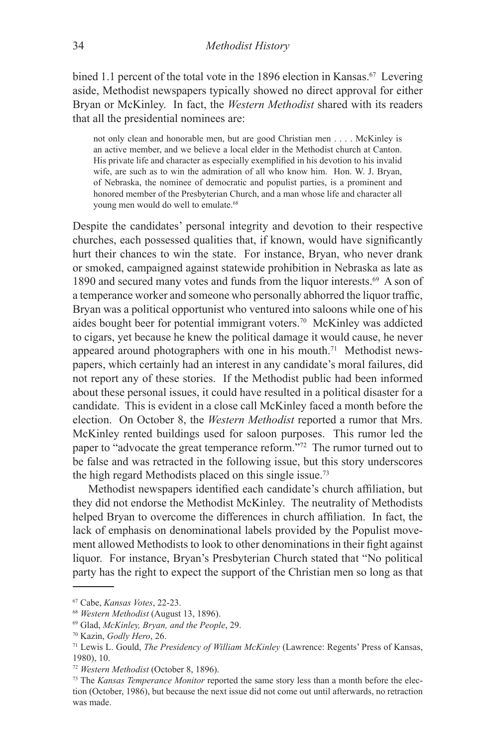bined 1.1 percent of the total vote in the 1896 election in Kansas.<sup>67</sup> Levering aside, Methodist newspapers typically showed no direct approval for either Bryan or McKinley. In fact, the *Western Methodist* shared with its readers that all the presidential nominees are:

not only clean and honorable men, but are good Christian men . . . . McKinley is an active member, and we believe a local elder in the Methodist church at Canton. His private life and character as especially exemplified in his devotion to his invalid wife, are such as to win the admiration of all who know him. Hon. W. J. Bryan, of Nebraska, the nominee of democratic and populist parties, is a prominent and honored member of the Presbyterian Church, and a man whose life and character all young men would do well to emulate.<sup>68</sup>

Despite the candidates' personal integrity and devotion to their respective churches, each possessed qualities that, if known, would have significantly hurt their chances to win the state. For instance, Bryan, who never drank or smoked, campaigned against statewide prohibition in Nebraska as late as 1890 and secured many votes and funds from the liquor interests.<sup>69</sup> A son of a temperance worker and someone who personally abhorred the liquor traffic, Bryan was a political opportunist who ventured into saloons while one of his aides bought beer for potential immigrant voters.70 McKinley was addicted to cigars, yet because he knew the political damage it would cause, he never appeared around photographers with one in his mouth.<sup>71</sup> Methodist newspapers, which certainly had an interest in any candidate's moral failures, did not report any of these stories. If the Methodist public had been informed about these personal issues, it could have resulted in a political disaster for a candidate. This is evident in a close call McKinley faced a month before the election. On October 8, the *Western Methodist* reported a rumor that Mrs. McKinley rented buildings used for saloon purposes. This rumor led the paper to "advocate the great temperance reform."72 The rumor turned out to be false and was retracted in the following issue, but this story underscores the high regard Methodists placed on this single issue.73

Methodist newspapers identified each candidate's church affiliation, but they did not endorse the Methodist McKinley. The neutrality of Methodists helped Bryan to overcome the differences in church affiliation. In fact, the lack of emphasis on denominational labels provided by the Populist movement allowed Methodists to look to other denominations in their fight against liquor. For instance, Bryan's Presbyterian Church stated that "No political party has the right to expect the support of the Christian men so long as that

<sup>67</sup> Cabe, *Kansas Votes*, 22-23.

<sup>68</sup> *Western Methodist* (August 13, 1896).

<sup>69</sup> Glad, *McKinley, Bryan, and the People*, 29.

<sup>70</sup> Kazin, *Godly Hero*, 26.

<sup>71</sup> Lewis L. Gould, *The Presidency of William McKinley* (Lawrence: Regents' Press of Kansas, 1980), 10.

<sup>72</sup> *Western Methodist* (October 8, 1896).

<sup>73</sup> The *Kansas Temperance Monitor* reported the same story less than a month before the election (October, 1986), but because the next issue did not come out until afterwards, no retraction was made.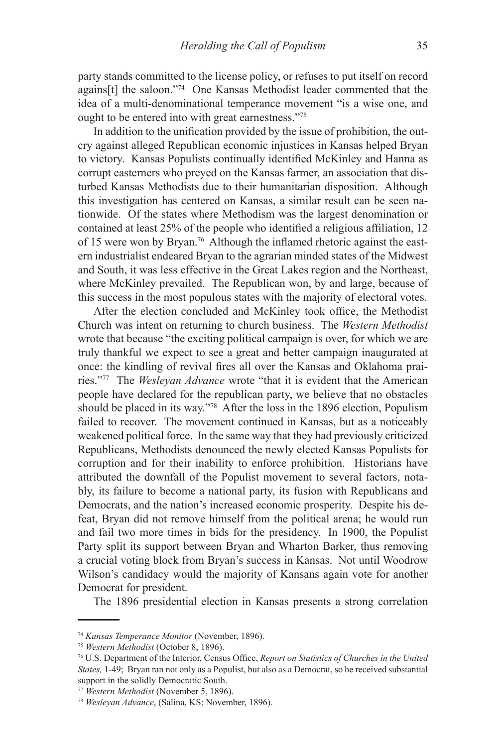party stands committed to the license policy, or refuses to put itself on record agains[t] the saloon."74 One Kansas Methodist leader commented that the idea of a multi-denominational temperance movement "is a wise one, and ought to be entered into with great earnestness."75

In addition to the unification provided by the issue of prohibition, the outcry against alleged Republican economic injustices in Kansas helped Bryan to victory. Kansas Populists continually identified McKinley and Hanna as corrupt easterners who preyed on the Kansas farmer, an association that disturbed Kansas Methodists due to their humanitarian disposition. Although this investigation has centered on Kansas, a similar result can be seen nationwide. Of the states where Methodism was the largest denomination or contained at least 25% of the people who identified a religious affiliation, 12 of 15 were won by Bryan.76 Although the inflamed rhetoric against the eastern industrialist endeared Bryan to the agrarian minded states of the Midwest and South, it was less effective in the Great Lakes region and the Northeast, where McKinley prevailed. The Republican won, by and large, because of this success in the most populous states with the majority of electoral votes.

After the election concluded and McKinley took office, the Methodist Church was intent on returning to church business. The *Western Methodist* wrote that because "the exciting political campaign is over, for which we are truly thankful we expect to see a great and better campaign inaugurated at once: the kindling of revival fires all over the Kansas and Oklahoma prairies."77 The *Wesleyan Advance* wrote "that it is evident that the American people have declared for the republican party, we believe that no obstacles should be placed in its way."78 After the loss in the 1896 election, Populism failed to recover. The movement continued in Kansas, but as a noticeably weakened political force. In the same way that they had previously criticized Republicans, Methodists denounced the newly elected Kansas Populists for corruption and for their inability to enforce prohibition. Historians have attributed the downfall of the Populist movement to several factors, notably, its failure to become a national party, its fusion with Republicans and Democrats, and the nation's increased economic prosperity. Despite his defeat, Bryan did not remove himself from the political arena; he would run and fail two more times in bids for the presidency. In 1900, the Populist Party split its support between Bryan and Wharton Barker, thus removing a crucial voting block from Bryan's success in Kansas. Not until Woodrow Wilson's candidacy would the majority of Kansans again vote for another Democrat for president.

The 1896 presidential election in Kansas presents a strong correlation

<sup>74</sup> *Kansas Temperance Monitor* (November, 1896).

<sup>75</sup> *Western Methodist* (October 8, 1896).

<sup>76</sup> U.S. Department of the Interior, Census Office, *Report on Statistics of Churches in the United States,* 1-49; Bryan ran not only as a Populist, but also as a Democrat, so he received substantial support in the solidly Democratic South.

<sup>77</sup> *Western Methodist* (November 5, 1896).

<sup>78</sup> *Wesleyan Advance*, (Salina, KS; November, 1896).